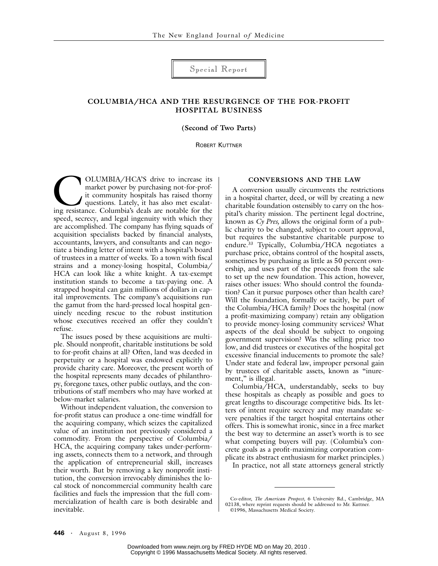Special Report

# **COLUMBIA/HCA AND THE RESURGENCE OF THE FOR-PROFIT HOSPITAL BUSINESS**

**(Second of Two Parts)**

ROBERT KUTTNER

OLUMBIA/HCA'S drive to increase its market power by purchasing not-for-profit community hospitals has raised thorny questions. Lately, it has also met escalating resistance. Columbia's deals are notable for the speed, secrecy, and legal ingenuity with which they are accomplished. The company has flying squads of acquisition specialists backed by financial analysts, accountants, lawyers, and consultants and can negotiate a binding letter of intent with a hospital's board of trustees in a matter of weeks. To a town with fiscal strains and a money-losing hospital, Columbia/ HCA can look like a white knight. A tax-exempt institution stands to become a tax-paying one. A strapped hospital can gain millions of dollars in capital improvements. The company's acquisitions run the gamut from the hard-pressed local hospital genuinely needing rescue to the robust institution whose executives received an offer they couldn't refuse. OLUMBIA/HCA'S drive to increase its<br>
market power by purchasing not-for-prof-<br>
it community hospitals has raised thorny<br>
questions. Lately, it has also met escalat-<br>
in a hospital charter, deed, or will by creatin<br>
charita

The issues posed by these acquisitions are multiple. Should nonprofit, charitable institutions be sold to for-profit chains at all? Often, land was deeded in perpetuity or a hospital was endowed explicitly to provide charity care. Moreover, the present worth of the hospital represents many decades of philanthropy, foregone taxes, other public outlays, and the contributions of staff members who may have worked at below-market salaries.

Without independent valuation, the conversion to for-profit status can produce a one-time windfall for the acquiring company, which seizes the capitalized value of an institution not previously considered a commodity. From the perspective of Columbia/ HCA, the acquiring company takes under-performing assets, connects them to a network, and through the application of entrepreneurial skill, increases their worth. But by removing a key nonprofit institution, the conversion irrevocably diminishes the local stock of noncommercial community health care facilities and fuels the impression that the full commercialization of health care is both desirable and inevitable.

A conversion usually circumvents the restrictions in a hospital charter, deed, or will by creating a new charitable foundation ostensibly to carry on the hospital's charity mission. The pertinent legal doctrine, known as *Cy Pres,* allows the original form of a public charity to be changed, subject to court approval, but requires the substantive charitable purpose to endure.33 Typically, Columbia/HCA negotiates a purchase price, obtains control of the hospital assets, sometimes by purchasing as little as 50 percent ownership, and uses part of the proceeds from the sale to set up the new foundation. This action, however, raises other issues: Who should control the foundation? Can it pursue purposes other than health care? Will the foundation, formally or tacitly, be part of the Columbia/HCA family? Does the hospital (now a profit-maximizing company) retain any obligation to provide money-losing community services? What aspects of the deal should be subject to ongoing government supervision? Was the selling price too low, and did trustees or executives of the hospital get excessive financial inducements to promote the sale? Under state and federal law, improper personal gain by trustees of charitable assets, known as "inurement," is illegal.

Columbia/HCA, understandably, seeks to buy these hospitals as cheaply as possible and goes to great lengths to discourage competitive bids. Its letters of intent require secrecy and may mandate severe penalties if the target hospital entertains other offers. This is somewhat ironic, since in a free market the best way to determine an asset's worth is to see what competing buyers will pay. (Columbia's concrete goals as a profit-maximizing corporation complicate its abstract enthusiasm for market principles.)

In practice, not all state attorneys general strictly

Co-editor, *The American Prospect,* 6 University Rd., Cambridge, MA 02138, where reprint requests should be addressed to Mr. Kuttner. ©1996, Massachusetts Medical Society.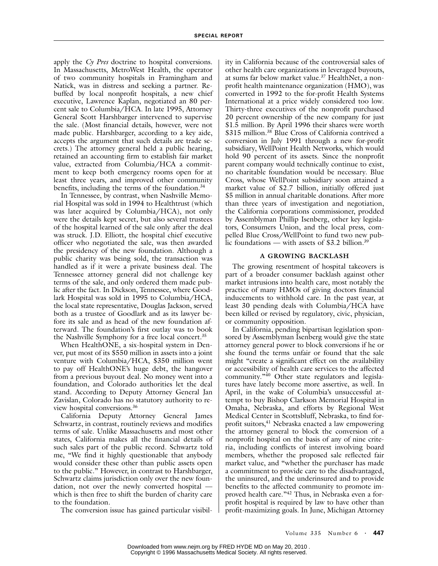apply the *Cy Pres* doctrine to hospital conversions. In Massachusetts, MetroWest Health, the operator of two community hospitals in Framingham and Natick, was in distress and seeking a partner. Rebuffed by local nonprofit hospitals, a new chief executive, Lawrence Kaplan, negotiated an 80 percent sale to Columbia/HCA. In late 1995, Attorney General Scott Harshbarger intervened to supervise the sale. (Most financial details, however, were not made public. Harshbarger, according to a key aide, accepts the argument that such details are trade secrets.) The attorney general held a public hearing, retained an accounting firm to establish fair market value, extracted from Columbia/HCA a commitment to keep both emergency rooms open for at least three years, and improved other community benefits, including the terms of the foundation.<sup>34</sup>

In Tennessee, by contrast, when Nashville Memorial Hospital was sold in 1994 to Healthtrust (which was later acquired by Columbia/HCA), not only were the details kept secret, but also several trustees of the hospital learned of the sale only after the deal was struck. J.D. Elliott, the hospital chief executive officer who negotiated the sale, was then awarded the presidency of the new foundation. Although a public charity was being sold, the transaction was handled as if it were a private business deal. The Tennessee attorney general did not challenge key terms of the sale, and only ordered them made public after the fact. In Dickson, Tennessee, where Goodlark Hospital was sold in 1995 to Columbia/HCA, the local state representative, Douglas Jackson, served both as a trustee of Goodlark and as its lawyer before its sale and as head of the new foundation afterward. The foundation's first outlay was to book the Nashville Symphony for a free local concert.35

When HealthONE, a six-hospital system in Denver, put most of its \$550 million in assets into a joint venture with Columbia/HCA, \$350 million went to pay off HealthONE's huge debt, the hangover from a previous buyout deal. No money went into a foundation, and Colorado authorities let the deal stand. According to Deputy Attorney General Jan Zavislan, Colorado has no statutory authority to review hospital conversions.36

California Deputy Attorney General James Schwartz, in contrast, routinely reviews and modifies terms of sale. Unlike Massachusetts and most other states, California makes all the financial details of such sales part of the public record. Schwartz told me, "We find it highly questionable that anybody would consider these other than public assets open to the public." However, in contrast to Harshbarger, Schwartz claims jurisdiction only over the new foundation, not over the newly converted hospital which is then free to shift the burden of charity care to the foundation.

The conversion issue has gained particular visibil-

ity in California because of the controversial sales of other health care organizations in leveraged buyouts, at sums far below market value.37 HealthNet, a nonprofit health maintenance organization (HMO), was converted in 1992 to the for-profit Health Systems International at a price widely considered too low. Thirty-three executives of the nonprofit purchased 20 percent ownership of the new company for just \$1.5 million. By April 1996 their shares were worth \$315 million.38 Blue Cross of California contrived a conversion in July 1991 through a new for-profit subsidiary, WellPoint Health Networks, which would hold 90 percent of its assets. Since the nonprofit parent company would technically continue to exist, no charitable foundation would be necessary. Blue Cross, whose WellPoint subsidiary soon attained a market value of \$2.7 billion, initially offered just \$5 million in annual charitable donations. After more than three years of investigation and negotiation, the California corporations commissioner, prodded by Assemblyman Phillip Isenberg, other key legislators, Consumers Union, and the local press, compelled Blue Cross/WellPoint to fund two new public foundations — with assets of \$3.2 billion.<sup>39</sup>

#### **A GROWING BACKLASH**

The growing resentment of hospital takeovers is part of a broader consumer backlash against other market intrusions into health care, most notably the practice of many HMOs of giving doctors financial inducements to withhold care. In the past year, at least 30 pending deals with Columbia/HCA have been killed or revised by regulatory, civic, physician, or community opposition.

In California, pending bipartisan legislation sponsored by Assemblyman Isenberg would give the state attorney general power to block conversions if he or she found the terms unfair or found that the sale might "create a significant effect on the availability or accessibility of health care services to the affected community."40 Other state regulators and legislatures have lately become more assertive, as well. In April, in the wake of Columbia's unsuccessful attempt to buy Bishop Clarkson Memorial Hospital in Omaha, Nebraska, and efforts by Regional West Medical Center in Scottsbluff, Nebraska, to find forprofit suitors,<sup>41</sup> Nebraska enacted a law empowering the attorney general to block the conversion of a nonprofit hospital on the basis of any of nine criteria, including conflicts of interest involving board members, whether the proposed sale reflected fair market value, and "whether the purchaser has made a commitment to provide care to the disadvantaged, the uninsured, and the underinsured and to provide benefits to the affected community to promote improved health care."42 Thus, in Nebraska even a forprofit hospital is required by law to have other than profit-maximizing goals. In June, Michigan Attorney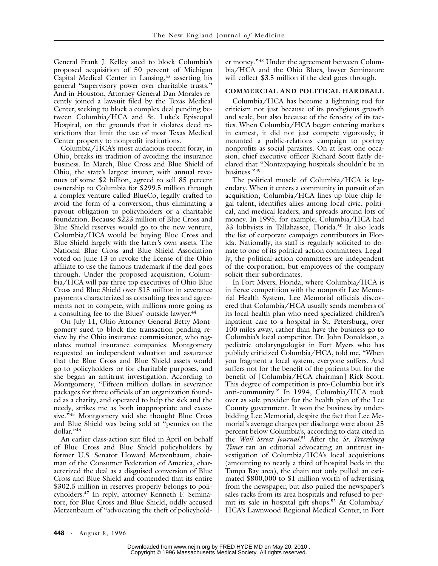General Frank J. Kelley sued to block Columbia's proposed acquisition of 50 percent of Michigan Capital Medical Center in Lansing,<sup>43</sup> asserting his general "supervisory power over charitable trusts." And in Houston, Attorney General Dan Morales recently joined a lawsuit filed by the Texas Medical Center, seeking to block a complex deal pending between Columbia/HCA and St. Luke's Episcopal Hospital, on the grounds that it violates deed restrictions that limit the use of most Texas Medical Center property to nonprofit institutions.

Columbia/HCA's most audacious recent foray, in Ohio, breaks its tradition of avoiding the insurance business. In March, Blue Cross and Blue Shield of Ohio, the state's largest insurer, with annual revenues of some \$2 billion, agreed to sell 85 percent ownership to Columbia for \$299.5 million through a complex venture called BlueCo, legally crafted to avoid the form of a conversion, thus eliminating a payout obligation to policyholders or a charitable foundation. Because \$223 million of Blue Cross and Blue Shield reserves would go to the new venture, Columbia/HCA would be buying Blue Cross and Blue Shield largely with the latter's own assets. The National Blue Cross and Blue Shield Association voted on June 13 to revoke the license of the Ohio affiliate to use the famous trademark if the deal goes through. Under the proposed acquisition, Columbia/HCA will pay three top executives of Ohio Blue Cross and Blue Shield over \$15 million in severance payments characterized as consulting fees and agreements not to compete, with millions more going as a consulting fee to the Blues' outside lawyer.<sup>44</sup>

On July 11, Ohio Attorney General Betty Montgomery sued to block the transaction pending review by the Ohio insurance commissioner, who regulates mutual insurance companies. Montgomery requested an independent valuation and assurance that the Blue Cross and Blue Shield assets would go to policyholders or for charitable purposes, and she began an antitrust investigation. According to Montgomery, "Fifteen million dollars in severance packages for three officials of an organization founded as a charity, and operated to help the sick and the needy, strikes me as both inappropriate and excessive."<sup>45</sup> Montgomery said she thought Blue Cross and Blue Shield was being sold at "pennies on the dollar."46

An earlier class-action suit filed in April on behalf of Blue Cross and Blue Shield policyholders by former U.S. Senator Howard Metzenbaum, chairman of the Consumer Federation of America, characterized the deal as a disguised conversion of Blue Cross and Blue Shield and contended that its entire \$302.5 million in reserves properly belongs to policyholders.47 In reply, attorney Kenneth F. Seminatore, for Blue Cross and Blue Shield, oddly accused Metzenbaum of "advocating the theft of policyholder money."48 Under the agreement between Columbia/HCA and the Ohio Blues, lawyer Seminatore will collect \$3.5 million if the deal goes through.

### **COMMERCIAL AND POLITICAL HARDBALL**

Columbia/HCA has become a lightning rod for criticism not just because of its prodigious growth and scale, but also because of the ferocity of its tactics. When Columbia/HCA began entering markets in earnest, it did not just compete vigorously; it mounted a public-relations campaign to portray nonprofits as social parasites. On at least one occasion, chief executive officer Richard Scott flatly declared that "Nontaxpaying hospitals shouldn't be in business."49

The political muscle of Columbia/HCA is legendary. When it enters a community in pursuit of an acquisition, Columbia/HCA lines up blue-chip legal talent, identifies allies among local civic, political, and medical leaders, and spreads around lots of money. In 1995, for example, Columbia/HCA had 33 lobbyists in Tallahassee, Florida.50 It also leads the list of corporate campaign contributors in Florida. Nationally, its staff is regularly solicited to donate to one of its political-action committees. Legally, the political-action committees are independent of the corporation, but employees of the company solicit their subordinates.

In Fort Myers, Florida, where Columbia/HCA is in fierce competition with the nonprofit Lee Memorial Health System, Lee Memorial officials discovered that Columbia/HCA usually sends members of its local health plan who need specialized children's inpatient care to a hospital in St. Petersburg, over 100 miles away, rather than have the business go to Columbia's local competitor. Dr. John Donaldson, a pediatric otolaryngologist in Fort Myers who has publicly criticized Columbia/HCA, told me, "When you fragment a local system, everyone suffers. And suffers not for the benefit of the patients but for the benefit of [Columbia/HCA chairman] Rick Scott. This degree of competition is pro-Columbia but it's anti-community." In 1994, Columbia/HCA took over as sole provider for the health plan of the Lee County government. It won the business by underbidding Lee Memorial, despite the fact that Lee Memorial's average charges per discharge were about 25 percent below Columbia's, according to data cited in the *Wall Street Journal.*51 After the *St. Petersburg Times* ran an editorial advocating an antitrust investigation of Columbia/HCA's local acquisitions (amounting to nearly a third of hospital beds in the Tampa Bay area), the chain not only pulled an estimated \$800,000 to \$1 million worth of advertising from the newspaper, but also pulled the newspaper's sales racks from its area hospitals and refused to permit its sale in hospital gift shops.52 At Columbia/ HCA's Lawnwood Regional Medical Center, in Fort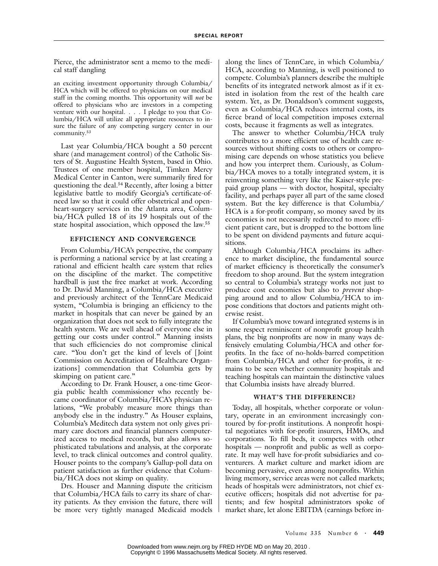Pierce, the administrator sent a memo to the medical staff dangling

an exciting investment opportunity through Columbia/ HCA which will be offered to physicians on our medical staff in the coming months. This opportunity will *not* be offered to physicians who are investors in a competing venture with our hospital. . . . I pledge to you that Columbia/HCA will utilize all appropriate resources to insure the failure of any competing surgery center in our community.53

Last year Columbia/HCA bought a 50 percent share (and management control) of the Catholic Sisters of St. Augustine Health System, based in Ohio. Trustees of one member hospital, Timken Mercy Medical Center in Canton, were summarily fired for questioning the deal.<sup>54</sup> Recently, after losing a bitter legislative battle to modify Georgia's certificate-ofneed law so that it could offer obstetrical and openheart-surgery services in the Atlanta area, Columbia/HCA pulled 18 of its 19 hospitals out of the state hospital association, which opposed the law.55

## **EFFICIENCY AND CONVERGENCE**

From Columbia/HCA's perspective, the company is performing a national service by at last creating a rational and efficient health care system that relies on the discipline of the market. The competitive hardball is just the free market at work. According to Dr. David Manning, a Columbia/HCA executive and previously architect of the TennCare Medicaid system, "Columbia is bringing an efficiency to the market in hospitals that can never be gained by an organization that does not seek to fully integrate the health system. We are well ahead of everyone else in getting our costs under control." Manning insists that such efficiencies do not compromise clinical care. "You don't get the kind of levels of [Joint Commission on Accreditation of Healthcare Organizations] commendation that Columbia gets by skimping on patient care."

According to Dr. Frank Houser, a one-time Georgia public health commissioner who recently became coordinator of Columbia/HCA's physician relations, "We probably measure more things than anybody else in the industry." As Houser explains, Columbia's Meditech data system not only gives primary care doctors and financial planners computerized access to medical records, but also allows sophisticated tabulations and analysis, at the corporate level, to track clinical outcomes and control quality. Houser points to the company's Gallup-poll data on patient satisfaction as further evidence that Columbia/HCA does not skimp on quality.

Drs. Houser and Manning dispute the criticism that Columbia/HCA fails to carry its share of charity patients. As they envision the future, there will be more very tightly managed Medicaid models along the lines of TennCare, in which Columbia/ HCA, according to Manning, is well positioned to compete. Columbia's planners describe the multiple benefits of its integrated network almost as if it existed in isolation from the rest of the health care system. Yet, as Dr. Donaldson's comment suggests, even as Columbia/HCA reduces internal costs, its fierce brand of local competition imposes external costs, because it fragments as well as integrates.

The answer to whether Columbia/HCA truly contributes to a more efficient use of health care resources without shifting costs to others or compromising care depends on whose statistics you believe and how you interpret them. Curiously, as Columbia/HCA moves to a totally integrated system, it is reinventing something very like the Kaiser-style prepaid group plans — with doctor, hospital, specialty facility, and perhaps payer all part of the same closed system. But the key difference is that Columbia/ HCA is a for-profit company, so money saved by its economies is not necessarily redirected to more efficient patient care, but is dropped to the bottom line to be spent on dividend payments and future acquisitions.

Although Columbia/HCA proclaims its adherence to market discipline, the fundamental source of market efficiency is theoretically the consumer's freedom to shop around. But the system integration so central to Columbia's strategy works not just to produce cost economies but also to *prevent* shopping around and to allow Columbia/HCA to impose conditions that doctors and patients might otherwise resist.

If Columbia's move toward integrated systems is in some respect reminiscent of nonprofit group health plans, the big nonprofits are now in many ways defensively emulating Columbia/HCA and other forprofits. In the face of no-holds-barred competition from Columbia/HCA and other for-profits, it remains to be seen whether community hospitals and teaching hospitals can maintain the distinctive values that Columbia insists have already blurred.

#### **WHAT'S THE DIFFERENCE?**

Today, all hospitals, whether corporate or voluntary, operate in an environment increasingly contoured by for-profit institutions. A nonprofit hospital negotiates with for-profit insurers, HMOs, and corporations. To fill beds, it competes with other hospitals — nonprofit and public as well as corporate. It may well have for-profit subsidiaries and coventurers. A market culture and market idiom are becoming pervasive, even among nonprofits. Within living memory, service areas were not called markets; heads of hospitals were administrators, not chief executive officers; hospitals did not advertise for patients; and few hospital administrators spoke of market share, let alone EBITDA (earnings before in-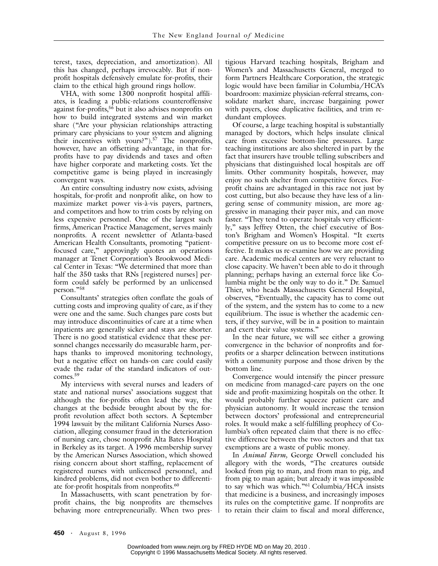terest, taxes, depreciation, and amortization). All this has changed, perhaps irrevocably. But if nonprofit hospitals defensively emulate for-profits, their claim to the ethical high ground rings hollow.

VHA, with some 1300 nonprofit hospital affiliates, is leading a public-relations counteroffensive  $\frac{1}{2}$  against for-profits,<sup>56</sup> but it also advises nonprofits on how to build integrated systems and win market share ("Are your physician relationships attracting primary care physicians to your system and aligning their incentives with yours?"). $57$  The nonprofits, however, have an offsetting advantage, in that forprofits have to pay dividends and taxes and often have higher corporate and marketing costs. Yet the competitive game is being played in increasingly convergent ways.

An entire consulting industry now exists, advising hospitals, for-profit and nonprofit alike, on how to maximize market power vis-à-vis payers, partners, and competitors and how to trim costs by relying on less expensive personnel. One of the largest such firms, American Practice Management, serves mainly nonprofits. A recent newsletter of Atlanta-based American Health Consultants, promoting "patientfocused care," approvingly quotes an operations manager at Tenet Corporation's Brookwood Medical Center in Texas: "We determined that more than half the 350 tasks that RNs [registered nurses] perform could safely be performed by an unlicensed person."58

Consultants' strategies often conflate the goals of cutting costs and improving quality of care, as if they were one and the same. Such changes pare costs but may introduce discontinuities of care at a time when inpatients are generally sicker and stays are shorter. There is no good statistical evidence that these personnel changes necessarily do measurable harm, perhaps thanks to improved monitoring technology, but a negative effect on hands-on care could easily evade the radar of the standard indicators of outcomes.59

My interviews with several nurses and leaders of state and national nurses' associations suggest that although the for-profits often lead the way, the changes at the bedside brought about by the forprofit revolution affect both sectors. A September 1994 lawsuit by the militant California Nurses Association, alleging consumer fraud in the deterioration of nursing care, chose nonprofit Alta Bates Hospital in Berkeley as its target. A 1996 membership survey by the American Nurses Association, which showed rising concern about short staffing, replacement of registered nurses with unlicensed personnel, and kindred problems, did not even bother to differentiate for-profit hospitals from nonprofits.<sup>60</sup>

In Massachusetts, with scant penetration by forprofit chains, the big nonprofits are themselves behaving more entrepreneurially. When two prestigious Harvard teaching hospitals, Brigham and Women's and Massachusetts General, merged to form Partners Healthcare Corporation, the strategic logic would have been familiar in Columbia/HCA's boardroom: maximize physician-referral streams, consolidate market share, increase bargaining power with payers, close duplicative facilities, and trim redundant employees.

Of course, a large teaching hospital is substantially managed by doctors, which helps insulate clinical care from excessive bottom-line pressures. Large teaching institutions are also sheltered in part by the fact that insurers have trouble telling subscribers and physicians that distinguished local hospitals are off limits. Other community hospitals, however, may enjoy no such shelter from competitive forces. Forprofit chains are advantaged in this race not just by cost cutting, but also because they have less of a lingering sense of community mission, are more aggressive in managing their payer mix, and can move faster. "They tend to operate hospitals very efficiently," says Jeffrey Otten, the chief executive of Boston's Brigham and Women's Hospital. "It exerts competitive pressure on us to become more cost effective. It makes us re-examine how we are providing care. Academic medical centers are very reluctant to close capacity. We haven't been able to do it through planning; perhaps having an external force like Columbia might be the only way to do it." Dr. Samuel Thier, who heads Massachusetts General Hospital, observes, "Eventually, the capacity has to come out of the system, and the system has to come to a new equilibrium. The issue is whether the academic centers, if they survive, will be in a position to maintain and exert their value systems."

In the near future, we will see either a growing convergence in the behavior of nonprofits and forprofits or a sharper delineation between institutions with a community purpose and those driven by the bottom line.

Convergence would intensify the pincer pressure on medicine from managed-care payers on the one side and profit-maximizing hospitals on the other. It would probably further squeeze patient care and physician autonomy. It would increase the tension between doctors' professional and entrepreneurial roles. It would make a self-fulfilling prophecy of Columbia's often repeated claim that there is no effective difference between the two sectors and that tax exemptions are a waste of public money.

In *Animal Farm,* George Orwell concluded his allegory with the words, "The creatures outside looked from pig to man, and from man to pig, and from pig to man again; but already it was impossible to say which was which."61 Columbia/HCA insists that medicine is a business, and increasingly imposes its rules on the comptetitive game. If nonprofits are to retain their claim to fiscal and moral difference,